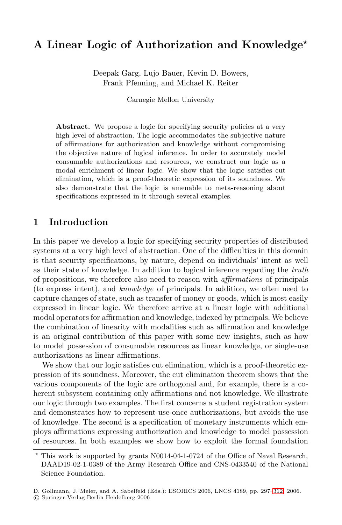# **A Linear Logic of Authorization and Knowledge***-*

Deepak Garg, Lujo Bauer, Kevin D. Bowers, Frank Pfenning, and Michael K. Reiter

Carnegie Mellon University

Abstract. We propose a logic for specifying security policies at a very high level of abstraction. The logic accommodates the subjective nature of affirmations for authorization and knowledge without compromising the objective nature of logical inference. In order to accurately model consumable authorizations and resources, we construct our logic as a modal enrichment of linear logic. We show that the logic satisfies cut elimination, which is a proof-theoretic expression of its soundness. We also demonstrate that the logic is amenable to meta-reasoning about specifications expressed in it through several examples.

## **1 Introduction**

In this paper we develop a logic for specifying security properties of distributed systems at a very high level of abstraction. One of the difficulties in this domain is that security specifications, by nature, depend on individuals' intent as well as their state of knowledge. In addition to logical inference regarding the truth of propositions, we therefore also need to reason with affirmations of principals (to express intent), and knowledge of principals. In addition, we often need to capture changes of state, such as transfer of money or goods, which is most easily expressed in linear logic. We therefore arrive at a linear logic with additional modal operators for affirmation and knowledge, indexed by principals. We believe the combination of linearity with modalities such as affirmation and knowledge is an original contribution of this paper with some new insights, such as how to model possession of consumable resources as linear knowledge, or single-use authorizations as linear affirmations.

We show that our logic satisfies cut elimination, which is a proof-theoretic expression of its soundness. Moreover, the cut elimination theorem shows that the various components of the logic are orthogonal and, for example, there is a coherent subsystem containing only affirmations and not knowledge. We illustrate our logic through two examples. The first concerns a student registration system and demonstrates how to represent use-once authorizations, but avoids the use of knowledge. The second is a specification of monetary instruments which employs affirmations expressing authorization and knowledge to model possession of resources. In both examples we show how to exploit the formal foundation

<sup>\*</sup> This work is supported by grants N0014-04-1-0724 of the Office of Naval Research, DAAD19-02-1-0389 of the Army Research Office and CNS-0433540 of the National Science Foundation.

D. Gollmann, J. Meier, and A. Sabelfeld (Eds.): ESORICS 2006, LNCS 4189, pp. 297[–312,](#page-14-0) 2006.

<sup>-</sup>c Springer-Verlag Berlin Heidelberg 2006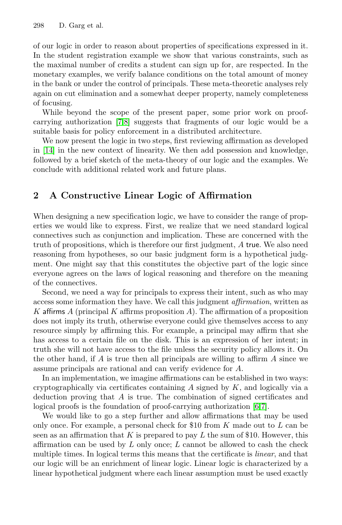of our logic in order to reason about properties of specifications expressed in it. In the student registration example we show that various constraints, such as the maximal number of credits a student can sign up for, are respected. In the monetary examples, we verify balance conditions on the total amount of money in the bank or under the control of principals. These meta-theoretic analyses rely again on cut elimination and a somewhat deeper property, namely completeness of focusing.

While beyond the scope of the present paper, some prior work on proofcarrying authorization [\[7](#page-15-0)[,8\]](#page-15-1) suggests that fragments of our logic would be a suitable basis for policy enforcement in a distributed architecture.

We now present the logic in two steps, first reviewing affirmation as developed in [\[14\]](#page-15-2) in the new context of linearity. We then add possession and knowledge, followed by a brief sketch of the meta-theory of our logic and the examples. We conclude with additional related work and future plans.

## **2 A Constructive Linear Logic of Affirmation**

When designing a new specification logic, we have to consider the range of properties we would like to express. First, we realize that we need standard logical connectives such as conjunction and implication. These are concerned with the truth of propositions, which is therefore our first judgment, A true. We also need reasoning from hypotheses, so our basic judgment form is a hypothetical judgment. One might say that this constitutes the objective part of the logic since everyone agrees on the laws of logical reasoning and therefore on the meaning of the connectives.

Second, we need a way for principals to express their intent, such as who may access some information they have. We call this judgment affirmation, written as K affirms A (principal K affirms proposition A). The affirmation of a proposition does not imply its truth, otherwise everyone could give themselves access to any resource simply by affirming this. For example, a principal may affirm that she has access to a certain file on the disk. This is an expression of her intent; in truth she will not have access to the file unless the security policy allows it. On the other hand, if A is true then all principals are willing to affirm A since we assume principals are rational and can verify evidence for A.

In an implementation, we imagine affirmations can be established in two ways: cryptographically via certificates containing  $A$  signed by  $K$ , and logically via a deduction proving that A is true. The combination of signed certificates and logical proofs is the foundation of proof-carrying authorization [\[6,](#page-15-3)[7\]](#page-15-0).

We would like to go a step further and allow affirmations that may be used only once. For example, a personal check for \$10 from  $K$  made out to  $L$  can be seen as an affirmation that K is prepared to pay L the sum of \$10. However, this affirmation can be used by  $L$  only once;  $L$  cannot be allowed to cash the check multiple times. In logical terms this means that the certificate is *linear*, and that our logic will be an enrichment of linear logic. Linear logic is characterized by a linear hypothetical judgment where each linear assumption must be used exactly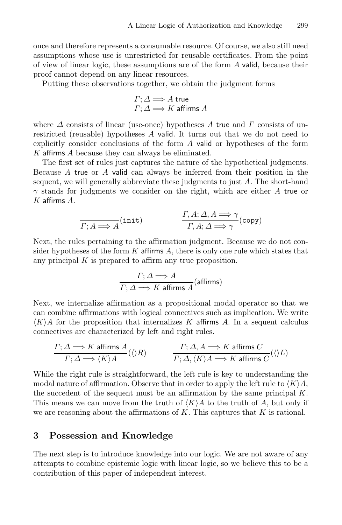once and therefore represents a consumable resource. Of course, we also still need assumptions whose use is unrestricted for reusable certificates. From the point of view of linear logic, these assumptions are of the form A valid, because their proof cannot depend on any linear resources.

Putting these observations together, we obtain the judgment forms

$$
\Gamma; \Delta \Longrightarrow A \text{ true}
$$
  

$$
\Gamma; \Delta \Longrightarrow K \text{ affirms } A
$$

where  $\Delta$  consists of linear (use-once) hypotheses A true and  $\Gamma$  consists of unrestricted (reusable) hypotheses A valid. It turns out that we do not need to explicitly consider conclusions of the form A valid or hypotheses of the form K affirms A because they can always be eliminated.

The first set of rules just captures the nature of the hypothetical judgments. Because A true or A valid can always be inferred from their position in the sequent, we will generally abbreviate these judgments to just A. The short-hand  $\gamma$  stands for judgments we consider on the right, which are either A true or  $K$  affirms  $A$ .

$$
\frac{\Gamma, A; \Delta, A \Longrightarrow \gamma}{\Gamma, A; \Delta \Longrightarrow \gamma} ( \text{copy})
$$

Next, the rules pertaining to the affirmation judgment. Because we do not consider hypotheses of the form  $K$  affirms  $A$ , there is only one rule which states that any principal  $K$  is prepared to affirm any true proposition.

$$
\frac{\Gamma;\Delta \Longrightarrow A}{\Gamma;\Delta \Longrightarrow K \text{ affirms } A} \text{(affirms)}
$$

Next, we internalize affirmation as a propositional modal operator so that we can combine affirmations with logical connectives such as implication. We write  $\langle K \rangle A$  for the proposition that internalizes K affirms A. In a sequent calculus connectives are characterized by left and right rules.

$$
\frac{\Gamma;\Delta \Longrightarrow K \text{ affirms } A}{\Gamma;\Delta \Longrightarrow \langle K \rangle A} (\langle \rangle R) \qquad \qquad \frac{\Gamma;\Delta,A \Longrightarrow K \text{ affirms } C}{\Gamma;\Delta,\langle K \rangle A \Longrightarrow K \text{ affirms } C} (\langle \rangle L)
$$

While the right rule is straightforward, the left rule is key to understanding the modal nature of affirmation. Observe that in order to apply the left rule to  $\langle K \rangle A$ , the succedent of the sequent must be an affirmation by the same principal  $K$ . This means we can move from the truth of  $\langle K \rangle A$  to the truth of A, but only if we are reasoning about the affirmations of  $K$ . This captures that  $K$  is rational.

#### **3 Possession and Knowledge**

The next step is to introduce knowledge into our logic. We are not aware of any attempts to combine epistemic logic with linear logic, so we believe this to be a contribution of this paper of independent interest.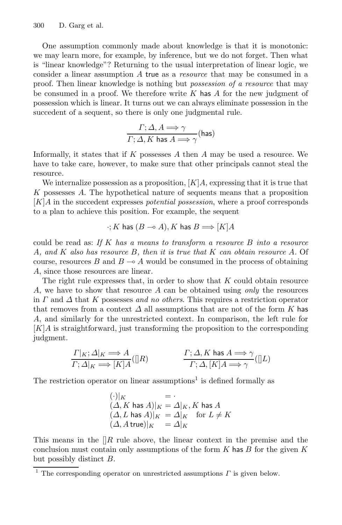One assumption commonly made about knowledge is that it is monotonic: we may learn more, for example, by inference, but we do not forget. Then what is "linear knowledge"? Returning to the usual interpretation of linear logic, we consider a linear assumption A true as a resource that may be consumed in a proof. Then linear knowledge is nothing but possession of a resource that may be consumed in a proof. We therefore write  $K$  has  $A$  for the new judgment of possession which is linear. It turns out we can always eliminate possession in the succedent of a sequent, so there is only one judgmental rule.

$$
\frac{\Gamma; \Delta, A \Longrightarrow \gamma}{\Gamma; \Delta, K \text{ has } A \Longrightarrow \gamma} \text{(has)}
$$

Informally, it states that if  $K$  possesses  $A$  then  $A$  may be used a resource. We have to take care, however, to make sure that other principals cannot steal the resource.

We internalize possession as a proposition,  $[K]A$ , expressing that it is true that K possesses A. The hypothetical nature of sequents means that a proposition [K]A in the succedent expresses potential possession, where a proof corresponds to a plan to achieve this position. For example, the sequent

$$
\cdot;K \text{ has } (B \multimap A), K \text{ has } B \Longrightarrow [K]A
$$

could be read as: If K has a means to transform a resource  $B$  into a resource A, and K also has resource  $B$ , then it is true that  $K$  can obtain resource A. Of course, resources  $B$  and  $B \to A$  would be consumed in the process of obtaining A, since those resources are linear.

The right rule expresses that, in order to show that  $K$  could obtain resource A, we have to show that resource A can be obtained using only the resources in  $\Gamma$  and  $\Delta$  that K possesses and no others. This requires a restriction operator that removes from a context  $\Delta$  all assumptions that are not of the form K has A, and similarly for the unrestricted context. In comparison, the left rule for  $[K]A$  is straightforward, just transforming the proposition to the corresponding judgment.

$$
\frac{\Gamma|_K; \Delta|_K \Longrightarrow A}{\Gamma; \Delta|_K \Longrightarrow [K]A}([\nR] \qquad \qquad \frac{\Gamma; \Delta, K \text{ has } A \Longrightarrow \gamma}{\Gamma; \Delta, [K]A \Longrightarrow \gamma}([\nL]
$$

The restriction operator on linear assumptions<sup>1</sup> is defined formally as

$$
(\cdot)|_K = \cdot
$$
  
\n
$$
(\Delta, K \text{ has } A)|_K = \Delta|_K, K \text{ has } A
$$
  
\n
$$
(\Delta, L \text{ has } A)|_K = \Delta|_K \text{ for } L \neq K
$$
  
\n
$$
(\Delta, A \text{ true})|_K = \Delta|_K
$$

This means in the  $\left\| R \right\|$  rule above, the linear context in the premise and the conclusion must contain only assumptions of the form  $K$  has  $B$  for the given  $K$ but possibly distinct B.

<sup>&</sup>lt;sup>1</sup> The corresponding operator on unrestricted assumptions  $\Gamma$  is given below.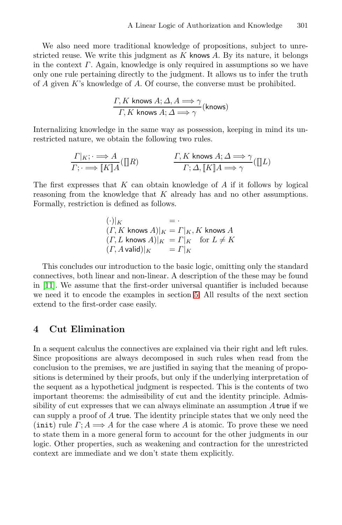We also need more traditional knowledge of propositions, subject to unrestricted reuse. We write this judgment as  $K$  knows  $A$ . By its nature, it belongs in the context  $\Gamma$ . Again, knowledge is only required in assumptions so we have only one rule pertaining directly to the judgment. It allows us to infer the truth of  $A$  given  $K$ 's knowledge of  $A$ . Of course, the converse must be prohibited.

$$
\frac{\Gamma, K \text{ knows } A; \Delta, A \Longrightarrow \gamma}{\Gamma, K \text{ knows } A; \Delta \Longrightarrow \gamma} \text{(knows)}
$$

Internalizing knowledge in the same way as possession, keeping in mind its unrestricted nature, we obtain the following two rules.

$$
\frac{\Gamma|_{K}; \cdot \implies A}{\Gamma; \cdot \implies \llbracket K \rrbracket A}(\llbracket R) \qquad \qquad \frac{\Gamma, K \text{ knows } A; \Delta \implies \gamma}{\Gamma; \Delta, \llbracket K \rrbracket A \implies \gamma}(\llbracket L)
$$

The first expresses that  $K$  can obtain knowledge of  $A$  if it follows by logical reasoning from the knowledge that K already has and no other assumptions. Formally, restriction is defined as follows.

$$
(\cdot)|_K = \cdot
$$
  
(*\Gamma*, *K* knows *A*)|<sub>K</sub> = *\Gamma*|<sub>K</sub>, *K* knows *A*  
(*\Gamma*, *L* knows *A*)|<sub>K</sub> = *\Gamma*|<sub>K</sub> for *L*  $\neq$  *K*  
(*\Gamma*, *A* valid)|<sub>K</sub> = *\Gamma*|<sub>K</sub>

This concludes our introduction to the basic logic, omitting only the standard connectives, both linear and non-linear. A description of the these may be found in [\[11\]](#page-15-4). We assume that the first-order universal quantifier is included because we need it to encode the examples in section [5.](#page-5-0) All results of the next section extend to the first-order case easily.

## **4 Cut Elimination**

In a sequent calculus the connectives are explained via their right and left rules. Since propositions are always decomposed in such rules when read from the conclusion to the premises, we are justified in saying that the meaning of propositions is determined by their proofs, but only if the underlying interpretation of the sequent as a hypothetical judgment is respected. This is the contents of two important theorems: the admissibility of cut and the identity principle. Admissibility of cut expresses that we can always eliminate an assumption A true if we can supply a proof of A true. The identity principle states that we only need the (init) rule  $\Gamma$ ;  $A \Longrightarrow A$  for the case where A is atomic. To prove these we need to state them in a more general form to account for the other judgments in our logic. Other properties, such as weakening and contraction for the unrestricted context are immediate and we don't state them explicitly.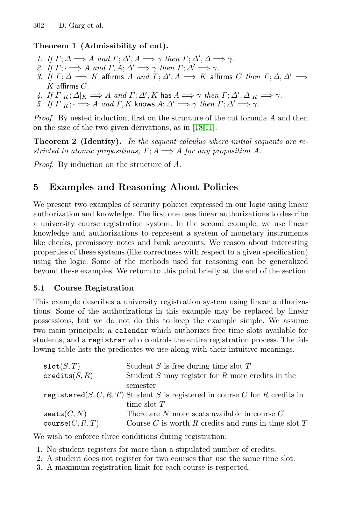## **Theorem 1 (Admissibility of cut).**

- 1. If  $\Gamma: \Delta \Longrightarrow A$  and  $\Gamma: \Delta', A \Longrightarrow \gamma$  then  $\Gamma: \Delta', \Delta \Longrightarrow \gamma$ .
- 2. If  $\Gamma: \longrightarrow A$  and  $\Gamma, A: \Delta' \longrightarrow \gamma$  then  $\Gamma: \Delta' \longrightarrow \gamma$ .
- 3. If  $\Gamma$ ;  $\Delta \Longrightarrow K$  affirms  $A$  and  $\Gamma$ ;  $\Delta', A \Longrightarrow K$  affirms  $C$  then  $\Gamma; \Delta, \Delta' \Longrightarrow$  $K$  affirms  $C$ .
- 4. If  $\Gamma|_K; \Delta|_K \Longrightarrow A$  and  $\Gamma; \Delta', K$  has  $A \Longrightarrow \gamma$  then  $\Gamma; \Delta', \Delta|_K \Longrightarrow \gamma$ .
- 5. If  $\Gamma|_K$ ;  $\implies$  A and  $\Gamma$ , K knows  $A; \Delta' \implies \gamma$  then  $\Gamma; \Delta' \implies \gamma$ .

Proof. By nested induction, first on the structure of the cut formula A and then on the size of the two given derivations, as in [\[18,](#page-15-5)[11\]](#page-15-4).

**Theorem 2 (Identity).** In the sequent calculus where initial sequents are restricted to atomic propositions,  $\Gamma: A \Longrightarrow A$  for any proposition A.

Proof. By induction on the structure of A.

## <span id="page-5-0"></span>**5 Examples and Reasoning About Policies**

We present two examples of security policies expressed in our logic using linear authorization and knowledge. The first one uses linear authorizations to describe a university course registration system. In the second example, we use linear knowledge and authorizations to represent a system of monetary instruments like checks, promissory notes and bank accounts. We reason about interesting properties of these systems (like correctness with respect to a given specification) using the logic. Some of the methods used for reasoning can be generalized beyond these examples. We return to this point briefly at the end of the section.

## **5.1 Course Registration**

This example describes a university registration system using linear authorizations. Some of the authorizations in this example may be replaced by linear possessions, but we do not do this to keep the example simple. We assume two main principals: a calendar which authorizes free time slots available for students, and a registrar who controls the entire registration process. The following table lists the predicates we use along with their intuitive meanings.

| $\texttt{slot}(S,T)$   | Student $S$ is free during time slot $T$                                    |
|------------------------|-----------------------------------------------------------------------------|
| $\text{credits}(S, R)$ | Student $S$ may register for $R$ more credits in the                        |
|                        | semester                                                                    |
|                        | registered(S, C, R, T) Student S is registered in course C for R credits in |
|                        | time slot $T$                                                               |
| $\mathtt{seats}(C,N)$  | There are $N$ more seats available in course $C$                            |
| course(C, R, T)        | Course $C$ is worth $R$ credits and runs in time slot $T$                   |

We wish to enforce three conditions during registration:

- 1. No student registers for more than a stipulated number of credits.
- 2. A student does not register for two courses that use the same time slot.
- 3. A maximum registration limit for each course is respected.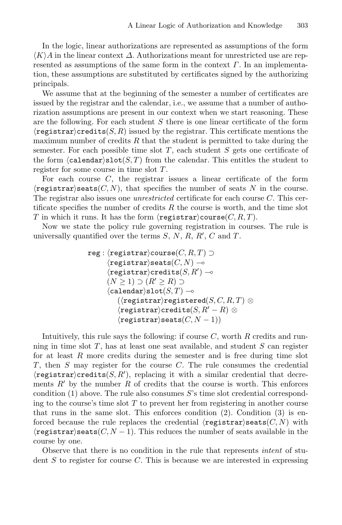In the logic, linear authorizations are represented as assumptions of the form  $\langle K \rangle A$  in the linear context  $\Delta$ . Authorizations meant for unrestricted use are represented as assumptions of the same form in the context  $\Gamma$ . In an implementation, these assumptions are substituted by certificates signed by the authorizing principals.

We assume that at the beginning of the semester a number of certificates are issued by the registrar and the calendar, i.e., we assume that a number of authorization assumptions are present in our context when we start reasoning. These are the following. For each student S there is one linear certificate of the form  $\langle$ registrar $\rangle$ credits $(S, R)$  issued by the registrar. This certificate mentions the maximum number of credits  $R$  that the student is permitted to take during the semester. For each possible time slot  $T$ , each student  $S$  gets one certificate of the form  $\langle$  calendar $\rangle$ slot $(S, T)$  from the calendar. This entitles the student to register for some course in time slot T .

For each course  $C$ , the registrar issues a linear certificate of the form  $\langle \text{register} \rangle$  seats  $(C, N)$ , that specifies the number of seats N in the course. The registrar also issues one *unrestricted* certificate for each course C. This certificate specifies the number of credits  $R$  the course is worth, and the time slot T in which it runs. It has the form  $\langle \text{register} \rangle \text{course}(C, R, T)$ .

Now we state the policy rule governing registration in courses. The rule is universally quantified over the terms  $S, N, R, R', C$  and T.

$$
\begin{array}{ll} \texttt{reg}: \langle \texttt{register} \rangle \texttt{course}(C, R, T) \supset \\ \langle \texttt{register} \rangle \texttt{seats}(C, N) \multimap \\ \langle \texttt{register} \rangle \texttt{credits}(S, R') \multimap \\ (N \geq 1) \supset (R' \geq R) \supset \\ \langle \texttt{calendar} \rangle \texttt{slot}(S, T) \multimap \\ (\langle \texttt{register} \rangle \texttt{registered}(S, C, R, T) \otimes \\ \langle \texttt{register} \rangle \texttt{credits}(S, R' - R) \otimes \\ \langle \texttt{register} \rangle \texttt{seats}(C, N - 1)) \end{array}
$$

Intuitively, this rule says the following: if course  $C$ , worth  $R$  credits and running in time slot  $T$ , has at least one seat available, and student  $S$  can register for at least  $R$  more credits during the semester and is free during time slot  $T$ , then  $S$  may register for the course  $C$ . The rule consumes the credential  $\langle$ registrar $\rangle$ credits $(S, R')$ , replacing it with a similar credential that decrements  $R'$  by the number R of credits that the course is worth. This enforces condition  $(1)$  above. The rule also consumes S's time slot credential corresponding to the course's time slot  $T$  to prevent her from registering in another course that runs in the same slot. This enforces condition (2). Condition (3) is enforced because the rule replaces the credential  $\langle \text{regularizer} \rangle$  seats  $(C, N)$  with  $\langle \text{register} \rangle$  seats  $(C, N - 1)$ . This reduces the number of seats available in the course by one.

Observe that there is no condition in the rule that represents intent of student  $S$  to register for course  $C$ . This is because we are interested in expressing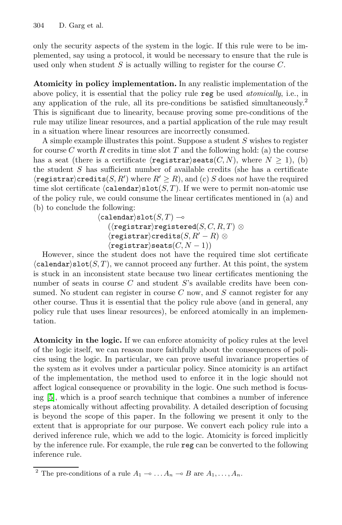only the security aspects of the system in the logic. If this rule were to be implemented, say using a protocol, it would be necessary to ensure that the rule is used only when student  $S$  is actually willing to register for the course  $C$ .

**Atomicity in policy implementation.** In any realistic implementation of the above policy, it is essential that the policy rule reg be used atomically, i.e., in any application of the rule, all its pre-conditions be satisfied simultaneously.<sup>2</sup> This is significant due to linearity, because proving some pre-conditions of the rule may utilize linear resources, and a partial application of the rule may result in a situation where linear resources are incorrectly consumed.

A simple example illustrates this point. Suppose a student S wishes to register for course C worth R credits in time slot T and the following hold: (a) the course has a seat (there is a certificate  $\langle \text{register} \rangle \text{seats}(C,N)$ , where  $N \geq 1$ ), (b) the student S has sufficient number of available credits (she has a certificate  $\langle {\tt registry}\rangle$ credits $(S, R')$  where  $R' \geq R$ ), and (c) S does not have the required time slot certificate  $\langle \text{calendar} \rangle \text{slot}(S, T)$ . If we were to permit non-atomic use of the policy rule, we could consume the linear certificates mentioned in (a) and (b) to conclude the following:

> $\langle {\tt calendar} \rangle {\tt slot}(S, T) \multimap$  $(\langle$ registrar $\rangle$ registered $(S, C, R, T)$   $\otimes$  $\langle$ registrar $\rangle$ credits $(S, R' - R) \otimes$  $\langle$ registrar $\rangle$ seats $(C, N - 1)$ )

However, since the student does not have the required time slot certificate  $\langle \text{calendar}\rangle$ slot $(S, T)$ , we cannot proceed any further. At this point, the system is stuck in an inconsistent state because two linear certificates mentioning the number of seats in course  $C$  and student  $S$ 's available credits have been consumed. No student can register in course  $C$  now, and  $S$  cannot register for any other course. Thus it is essential that the policy rule above (and in general, any policy rule that uses linear resources), be enforced atomically in an implementation.

**Atomicity in the logic.** If we can enforce atomicity of policy rules at the level of the logic itself, we can reason more faithfully about the consequences of policies using the logic. In particular, we can prove useful invariance properties of the system as it evolves under a particular policy. Since atomicity is an artifact of the implementation, the method used to enforce it in the logic should not affect logical consequence or provability in the logic. One such method is focusing [\[5\]](#page-15-6), which is a proof search technique that combines a number of inference steps atomically without affecting provability. A detailed description of focusing is beyond the scope of this paper. In the following we present it only to the extent that is appropriate for our purpose. We convert each policy rule into a derived inference rule, which we add to the logic. Atomicity is forced implicitly by the inference rule. For example, the rule reg can be converted to the following inference rule.

<sup>&</sup>lt;sup>2</sup> The pre-conditions of a rule  $A_1 \rightarrow \ldots A_n \rightarrow B$  are  $A_1, \ldots, A_n$ .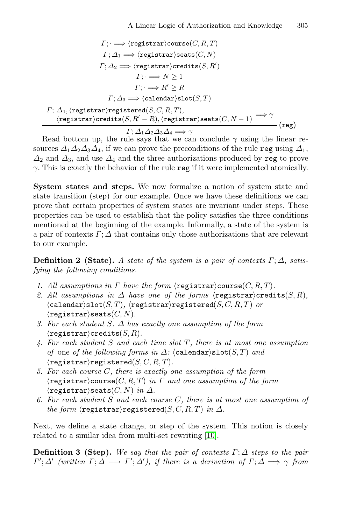$$
\Gamma; \implies \langle \text{register} \rangle \text{course}(C, R, T)
$$
\n
$$
\Gamma; \Delta_1 \implies \langle \text{register} \rangle \text{seats}(C, N)
$$
\n
$$
\Gamma; \Delta_2 \implies \langle \text{register} \rangle \text{credits}(S, R')
$$
\n
$$
\Gamma; \implies N \ge 1
$$
\n
$$
\Gamma; \implies R' \ge R
$$
\n
$$
\Gamma; \Delta_3 \implies \langle \text{calendar} \rangle \text{slot}(S, T)
$$
\n
$$
\Gamma; \Delta_4, \langle \text{register} \rangle \text{registered}(S, C, R, T),
$$
\n
$$
\langle \text{register} \rangle \text{credits}(S, R' - R), \langle \text{register} \rangle \text{seats}(C, N - 1) \implies \gamma
$$
\n
$$
\langle \text{reg})
$$

 $\Gamma; \Delta_1 \Delta_2 \Delta_3 \Delta_4 \Longrightarrow \gamma$  (reg)

Read bottom up, the rule says that we can conclude  $\gamma$  using the linear resources  $\Delta_1 \Delta_2 \Delta_3 \Delta_4$ , if we can prove the preconditions of the rule reg using  $\Delta_1$ ,  $\Delta_2$  and  $\Delta_3$ , and use  $\Delta_4$  and the three authorizations produced by reg to prove  $\gamma$ . This is exactly the behavior of the rule reg if it were implemented atomically.

**System states and steps.** We now formalize a notion of system state and state transition (step) for our example. Once we have these definitions we can prove that certain properties of system states are invariant under steps. These properties can be used to establish that the policy satisfies the three conditions mentioned at the beginning of the example. Informally, a state of the system is a pair of contexts  $\Gamma$ ;  $\Delta$  that contains only those authorizations that are relevant to our example.

<span id="page-8-0"></span>**Definition 2 (State).** A state of the system is a pair of contexts  $\Gamma$ ;  $\Delta$ , satisfying the following conditions.

- 1. All assumptions in  $\Gamma$  have the form  $\langle \text{register} \rangle \text{course}(C, R, T)$ .
- 2. All assumptions in  $\Delta$  have one of the forms  $\langle \text{registrar} \rangle \text{credits}(S, R)$ ,  $\langle$ calendar $\rangle$ slot $(S, T)$ ,  $\langle$ registrar $\rangle$ registered $(S, C, R, T)$  or  $\langle$ registrar $\rangle$ seats $(C, N)$ .
- 3. For each student S,  $\Delta$  has exactly one assumption of the form  $\langle$ registrar $\rangle$ credits $(S, R)$ .
- <span id="page-8-2"></span>4. For each student  $S$  and each time slot  $T$ , there is at most one assumption of one of the following forms in  $\Delta$ : (calendar)slot(S,T) and  $\langle$ registrar $\rangle$ registered $(S, C, R, T)$ .
- 5. For each course C, there is exactly one assumption of the form  $\langle \text{register} \rangle \text{course}(C, R, T)$  in  $\Gamma$  and one assumption of the form  $\langle$ registrar $\rangle$ seats $(C, N)$  in  $\Delta$ .
- 6. For each student  $S$  and each course  $C$ , there is at most one assumption of the form  $\langle$ registrar $\rangle$ registered $(S, C, R, T)$  in  $\Delta$ .

<span id="page-8-1"></span>Next, we define a state change, or step of the system. This notion is closely related to a similar idea from multi-set rewriting [\[10\]](#page-15-7).

**Definition 3 (Step).** We say that the pair of contexts  $\Gamma$ ;  $\Delta$  steps to the pair  $\varGamma';\varDelta'$  (written  $\varGamma;\varDelta\longrightarrow\varGamma';\varDelta'$ ), if there is a derivation of  $\varGamma;\varDelta\Longrightarrow\gamma$  from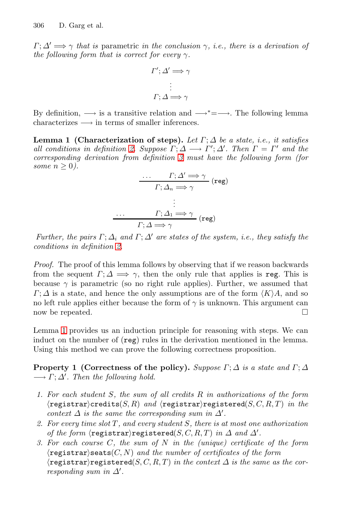$\Gamma: \Delta' \longrightarrow \gamma$  that is parametric in the conclusion  $\gamma$ , i.e., there is a derivation of the following form that is correct for every  $\gamma$ .

$$
\Gamma'; \Delta' \Longrightarrow \gamma
$$

$$
\vdots
$$

$$
\Gamma; \Delta \Longrightarrow \gamma
$$

<span id="page-9-0"></span>By definition,  $\longrightarrow$  is a transitive relation and  $\longrightarrow^*=\longrightarrow$ . The following lemma characterizes  $\longrightarrow$  in terms of smaller inferences.

**Lemma 1 (Characterization of steps).** Let  $\Gamma$ ;  $\Delta$  be a state, i.e., it satisfies all conditions in definition [2.](#page-8-0) Suppose  $\Gamma; \Delta \longrightarrow \Gamma'; \Delta'$ . Then  $\Gamma = \Gamma'$  and the corresponding derivation from definition [3](#page-8-1) must have the following form (for some  $n \geq 0$ ).

$$
\begin{array}{c}\n\cdots & \Gamma; \Delta' \Longrightarrow \gamma \quad (\text{reg}) \\
\hline\n\Gamma; \Delta_n \Longrightarrow \gamma \quad (\text{reg})\n\end{array}
$$
\n
$$
\begin{array}{c}\n\cdots & \Gamma; \Delta_1 \Longrightarrow \gamma \quad (\text{reg})\n\end{array}
$$
\n
$$
\begin{array}{c}\n\cdots & \Gamma; \Delta \Longrightarrow \gamma \quad (\text{reg})\n\end{array}
$$

Further, the pairs  $\Gamma; \Delta_i$  and  $\Gamma; \Delta'$  are states of the system, i.e., they satisfy the conditions in definition [2.](#page-8-0)

Proof. The proof of this lemma follows by observing that if we reason backwards from the sequent  $\Gamma: \Delta \longrightarrow \gamma$ , then the only rule that applies is reg. This is because  $\gamma$  is parametric (so no right rule applies). Further, we assumed that  $\Gamma: \Delta$  is a state, and hence the only assumptions are of the form  $\langle K \rangle A$ , and so no left rule applies either because the form of  $\gamma$  is unknown. This argument can now be repeated.  $\square$ 

Lemma [1](#page-9-0) provides us an induction principle for reasoning with steps. We can induct on the number of (reg) rules in the derivation mentioned in the lemma. Using this method we can prove the following correctness proposition.

<span id="page-9-1"></span>**Property 1 (Correctness of the policy).** Suppose  $\Gamma$ ;  $\Delta$  is a state and  $\Gamma$ ;  $\Delta$  $\longrightarrow \Gamma; \Delta'$ . Then the following hold.

- 1. For each student S, the sum of all credits R in authorizations of the form  $r$ egistrar $\c{c}$ redits $(S, R)$  and  $\c{registrar}$ registered $(S, C, R, T)$  in the context  $\Delta$  is the same the corresponding sum in  $\Delta'$ .
- 2. For every time slot  $T$ , and every student  $S$ , there is at most one authorization of the form  $\langle \texttt{register} \rangle \texttt{registered}(S, C, R, T)$  in  $\Delta$  and  $\Delta'$ .
- 3. For each course  $C$ , the sum of  $N$  in the (unique) certificate of the form  $\langle \text{registerar} \rangle$  seats $(C, N)$  and the number of certificates of the form  $\langle$ registrar $\rangle$ registered $(S, C, R, T)$  in the context  $\Delta$  is the same as the corresponding sum in  $\Delta'$ .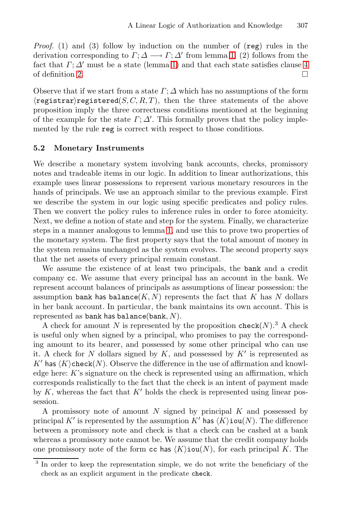*Proof.* (1) and (3) follow by induction on the number of  $(reg)$  rules in the derivation corresponding to  $\Gamma: \Delta \longrightarrow \Gamma: \Delta'$  from lemma [1.](#page-9-0) (2) follows from the fact that  $\Gamma$ ;  $\Delta'$  must be a state (lemma [1\)](#page-9-0) and that each state satisfies clause [4](#page-8-2) of definition [2.](#page-8-0)

Observe that if we start from a state  $\Gamma$ ;  $\Delta$  which has no assumptions of the form  $\langle$ registrar $\rangle$ registered $(S, C, R, T)$ , then the three statements of the above proposition imply the three correctness conditions mentioned at the beginning of the example for the state  $\Gamma$ ;  $\Delta'$ . This formally proves that the policy implemented by the rule reg is correct with respect to those conditions.

#### <span id="page-10-0"></span>**5.2 Monetary Instruments**

We describe a monetary system involving bank accounts, checks, promissory notes and tradeable items in our logic. In addition to linear authorizations, this example uses linear possessions to represent various monetary resources in the hands of principals. We use an approach similar to the previous example. First we describe the system in our logic using specific predicates and policy rules. Then we convert the policy rules to inference rules in order to force atomicity. Next, we define a notion of state and step for the system. Finally, we characterize steps in a manner analogous to lemma [1,](#page-9-0) and use this to prove two properties of the monetary system. The first property says that the total amount of money in the system remains unchanged as the system evolves. The second property says that the net assets of every principal remain constant.

We assume the existence of at least two principals, the bank and a credit company cc. We assume that every principal has an account in the bank. We represent account balances of principals as assumptions of linear possession: the assumption bank has balance(K, N) represents the fact that K has N dollars in her bank account. In particular, the bank maintains its own account. This is represented as bank has balance(bank,  $N$ ).

A check for amount N is represented by the proposition  $\text{check}(N)$ .<sup>3</sup> A check is useful only when signed by a principal, who promises to pay the corresponding amount to its bearer, and possessed by some other principal who can use it. A check for N dollars signed by K, and possessed by  $K'$  is represented as K' has  $\langle K \rangle$ check $(N)$ . Observe the difference in the use of affirmation and knowledge here:  $K$ 's signature on the check is represented using an affirmation, which corresponds realistically to the fact that the check is an intent of payment made by K, whereas the fact that  $K'$  holds the check is represented using linear possession.

A promissory note of amount N signed by principal  $K$  and possessed by principal K' is represented by the assumption K' has  $\langle K \rangle$ iou $(N)$ . The difference between a promissory note and check is that a check can be cashed at a bank whereas a promissory note cannot be. We assume that the credit company holds one promissory note of the form cc has  $\langle K \rangle$ iou $(N)$ , for each principal K. The

<sup>&</sup>lt;sup>3</sup> In order to keep the representation simple, we do not write the beneficiary of the check as an explicit argument in the predicate check.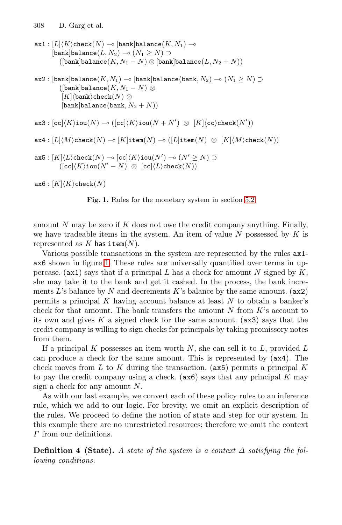ax $\texttt{1}: [L] \langle K \rangle$ check $(N) \multimap [\texttt{bank}]$ balance $(K, N_1) \multimap$  $[\texttt{bank}] \texttt{balance}(L, N_2) \multimap (N_1 \geq N) \supset$  $([bank] balance(K,N_1-N) \otimes [bank] balance(L,N_2+N))$  $\mathtt{ax2}: [\mathtt{bank}]$ balance $(K, N_1) \multimap [\mathtt{bank}]$ balance $(\mathtt{bank}, N_2) \multimap (N_1 \geq N) \supset$  $([{\tt bank}]{\tt balance}(K,N_1-N)\otimes$  $[K]\langle$ bank $\rangle$ check $(N)\otimes$  $[\text{bank}]$ balance $(\text{bank}, N_2 + N))$  $\mathtt{ax3} : [\mathtt{cc}] \langle K \rangle \mathtt{iou}(N) \multimap ([\mathtt{cc}] \langle K \rangle \mathtt{iou}(N+N')\ \otimes\ [K] \langle \mathtt{cc} \rangle \mathtt{check}(N'))$  $\mathtt{ax4}:[L]\langle M\rangle\mathtt{check}(N)\multimap [K]\mathtt{item}(N)\multimap ([L]\mathtt{item}(N)\ \otimes\ [K]\langle M\rangle\mathtt{check}(N))$  $\mathtt{ax5}: [K]\langle L\rangle$ check $(N) \multimap [\texttt{cc}]\langle K\rangle$ iou $(N') \multimap (N' \geq N) \supset$  $(\textsf{[cc]} \langle K \rangle \textsf{iou}(N'-N) \ \otimes \ \textsf{[cc]} \langle L \rangle \textsf{check}(N))$  $\mathtt{ax6}: [K]\langle K\rangle$ check $(N)$ **Fig. 1.** Rules for the monetary system in section [5.2](#page-10-0)

<span id="page-11-0"></span>amount N may be zero if K does not owe the credit company anything. Finally, we have tradeable items in the system. An item of value  $N$  possessed by  $K$  is represented as  $K$  has item $(N)$ .

Various possible transactions in the system are represented by the rules ax1 ax6 shown in figure [1.](#page-11-0) These rules are universally quantified over terms in uppercase. (ax1) says that if a principal L has a check for amount N signed by  $K$ , she may take it to the bank and get it cashed. In the process, the bank increments L's balance by N and decrements K's balance by the same amount.  $(ax2)$ permits a principal  $K$  having account balance at least  $N$  to obtain a banker's check for that amount. The bank transfers the amount  $N$  from  $K$ 's account to its own and gives K a signed check for the same amount.  $(ax3)$  says that the credit company is willing to sign checks for principals by taking promissory notes from them.

If a principal K possesses an item worth N, she can sell it to  $L$ , provided  $L$ can produce a check for the same amount. This is represented by (ax4). The check moves from L to K during the transaction. ( $ax5$ ) permits a principal K to pay the credit company using a check.  $(ax6)$  says that any principal K may sign a check for any amount  $N$ .

As with our last example, we convert each of these policy rules to an inference rule, which we add to our logic. For brevity, we omit an explicit description of the rules. We proceed to define the notion of state and step for our system. In this example there are no unrestricted resources; therefore we omit the context Γ from our definitions.

<span id="page-11-1"></span>**Definition 4 (State).** A state of the system is a context  $\Delta$  satisfying the following conditions.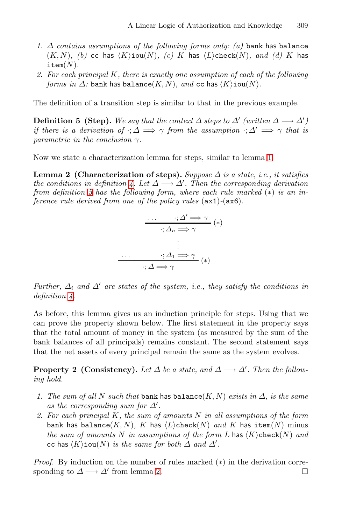- 1.  $\Delta$  contains assumptions of the following forms only: (a) bank has balance  $(K, N)$ , (b) cc has  $\langle K \rangle$ iou $(N)$ , (c) K has  $\langle L \rangle$ check $(N)$ , and (d) K has  $item(N).$
- 2. For each principal K, there is exactly one assumption of each of the following forms in  $\Delta$ : bank has balance $(K, N)$ , and cc has  $\langle K \rangle$ iou $(N)$ .

<span id="page-12-0"></span>The definition of a transition step is similar to that in the previous example.

**Definition 5 (Step).** We say that the context  $\Delta$  steps to  $\Delta'$  (written  $\Delta \longrightarrow \Delta'$ ) if there is a derivation of  $\cdot; \Delta \implies \gamma$  from the assumption  $\cdot; \Delta' \implies \gamma$  that is parametric in the conclusion  $\gamma$ .

<span id="page-12-1"></span>Now we state a characterization lemma for steps, similar to lemma [1.](#page-9-0)

**Lemma 2 (Characterization of steps).** Suppose  $\Delta$  is a state, i.e., it satisfies the conditions in definition [4.](#page-11-1) Let  $\Delta \longrightarrow \Delta'$ . Then the corresponding derivation from definition [5](#page-12-0) has the following form, where each rule marked  $(*)$  is an inference rule derived from one of the policy rules (ax1)-(ax6).

$$
\begin{array}{ccc}\n\cdots & \mathbf{i} \, \Delta' \Longrightarrow \gamma \\
\hline\n\vdots \Delta_n \Longrightarrow \gamma\n\end{array} (*)
$$
\n
$$
\begin{array}{ccc}\n\vdots & \\
\cdots & \mathbf{i} \, \Delta_1 \Longrightarrow \gamma \\
\hline\n\vdots & \\
\mathbf{i} \, \Delta_2 \Longrightarrow \gamma\n\end{array} (*)
$$

Further,  $\Delta_i$  and  $\Delta'$  are states of the system, i.e., they satisfy the conditions in definition [4.](#page-11-1)

As before, this lemma gives us an induction principle for steps. Using that we can prove the property shown below. The first statement in the property says that the total amount of money in the system (as measured by the sum of the bank balances of all principals) remains constant. The second statement says that the net assets of every principal remain the same as the system evolves.

<span id="page-12-2"></span>**Property 2 (Consistency).** Let  $\Delta$  be a state, and  $\Delta \longrightarrow \Delta'$ . Then the following hold.

- 1. The sum of all N such that bank has balance(K, N) exists in  $\Delta$ , is the same as the corresponding sum for  $\Delta'$ .
- 2. For each principal  $K$ , the sum of amounts  $N$  in all assumptions of the form bank has balance $(K, N)$ , K has  $\langle L \rangle$ check $(N)$  and K has item $(N)$  minus the sum of amounts N in assumptions of the form L has  $\langle K \rangle$ check $(N)$  and cc has  $\langle K \rangle$ iou $(N)$  is the same for both  $\Delta$  and  $\Delta'$ .

*Proof.* By induction on the number of rules marked  $(*)$  in the derivation corresponding to  $\Delta \longrightarrow \Delta'$  from lemma [2.](#page-12-1)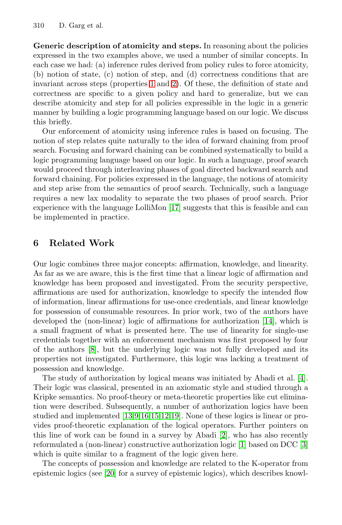**Generic description of atomicity and steps.** In reasoning about the policies expressed in the two examples above, we used a number of similar concepts. In each case we had: (a) inference rules derived from policy rules to force atomicity, (b) notion of state, (c) notion of step, and (d) correctness conditions that are invariant across steps (properties [1](#page-9-1) and [2\)](#page-12-2). Of these, the definition of state and correctness are specific to a given policy and hard to generalize, but we can describe atomicity and step for all policies expressible in the logic in a generic manner by building a logic programming language based on our logic. We discuss this briefly.

Our enforcement of atomicity using inference rules is based on focusing. The notion of step relates quite naturally to the idea of forward chaining from proof search. Focusing and forward chaining can be combined systematically to build a logic programming language based on our logic. In such a language, proof search would proceed through interleaving phases of goal directed backward search and forward chaining. For policies expressed in the language, the notions of atomicity and step arise from the semantics of proof search. Technically, such a language requires a new lax modality to separate the two phases of proof search. Prior experience with the language LolliMon [\[17\]](#page-15-8) suggests that this is feasible and can be implemented in practice.

## **6 Related Work**

Our logic combines three major concepts: affirmation, knowledge, and linearity. As far as we are aware, this is the first time that a linear logic of affirmation and knowledge has been proposed and investigated. From the security perspective, affirmations are used for authorization, knowledge to specify the intended flow of information, linear affirmations for use-once credentials, and linear knowledge for possession of consumable resources. In prior work, two of the authors have developed the (non-linear) logic of affirmations for authorization [\[14\]](#page-15-2), which is a small fragment of what is presented here. The use of linearity for single-use credentials together with an enforcement mechanism was first proposed by four of the authors [\[8\]](#page-15-1), but the underlying logic was not fully developed and its properties not investigated. Furthermore, this logic was lacking a treatment of possession and knowledge.

The study of authorization by logical means was initiated by Abadi et al. [\[4\]](#page-15-9). Their logic was classical, presented in an axiomatic style and studied through a Kripke semantics. No proof-theory or meta-theoretic properties like cut elimination were described. Subsequently, a number of authorization logics have been studied and implemented [\[13](#page-15-10)[,9](#page-15-11)[,16,](#page-15-12)[15](#page-15-13)[,12](#page-15-14)[,19\]](#page-15-15). None of these logics is linear or provides proof-theoretic explanation of the logical operators. Further pointers on this line of work can be found in a survey by Abadi [\[2\]](#page-14-1), who has also recently reformulated a (non-linear) constructive authorization logic [\[1\]](#page-14-2) based on DCC [\[3\]](#page-14-3) which is quite similar to a fragment of the logic given here.

The concepts of possession and knowledge are related to the K-operator from epistemic logics (see [\[20\]](#page-15-16) for a survey of epistemic logics), which describes knowl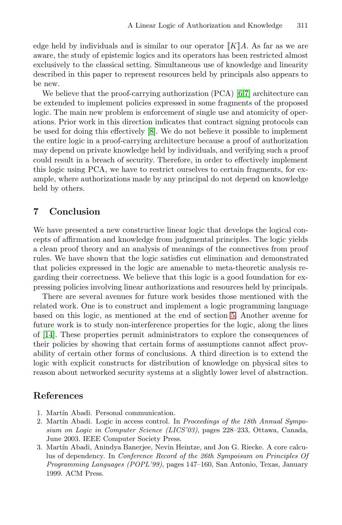edge held by individuals and is similar to our operator  $\llbracket K \rrbracket A$ . As far as we are aware, the study of epistemic logics and its operators has been restricted almost exclusively to the classical setting. Simultaneous use of knowledge and linearity described in this paper to represent resources held by principals also appears to be new.

We believe that the proof-carrying authorization (PCA) [\[6,](#page-15-3)[7\]](#page-15-0) architecture can be extended to implement policies expressed in some fragments of the proposed logic. The main new problem is enforcement of single use and atomicity of operations. Prior work in this direction indicates that contract signing protocols can be used for doing this effectively [\[8\]](#page-15-1). We do not believe it possible to implement the entire logic in a proof-carrying architecture because a proof of authorization may depend on private knowledge held by individuals, and verifying such a proof could result in a breach of security. Therefore, in order to effectively implement this logic using PCA, we have to restrict ourselves to certain fragments, for example, where authorizations made by any principal do not depend on knowledge held by others.

## **7 Conclusion**

We have presented a new constructive linear logic that develops the logical concepts of affirmation and knowledge from judgmental principles. The logic yields a clean proof theory and an analysis of meanings of the connectives from proof rules. We have shown that the logic satisfies cut elimination and demonstrated that policies expressed in the logic are amenable to meta-theoretic analysis regarding their correctness. We believe that this logic is a good foundation for expressing policies involving linear authorizations and resources held by principals.

There are several avenues for future work besides those mentioned with the related work. One is to construct and implement a logic programming language based on this logic, as mentioned at the end of section [5.](#page-5-0) Another avenue for future work is to study non-interference properties for the logic, along the lines of [\[14\]](#page-15-2). These properties permit administrators to explore the consequences of their policies by showing that certain forms of assumptions cannot affect provability of certain other forms of conclusions. A third direction is to extend the logic with explicit constructs for distribution of knowledge on physical sites to reason about networked security systems at a slightly lower level of abstraction.

## <span id="page-14-2"></span><span id="page-14-1"></span><span id="page-14-0"></span>**References**

- 1. Martín Abadi. Personal communication.
- 2. Martín Abadi. Logic in access control. In Proceedings of the 18th Annual Symposium on Logic in Computer Science (LICS'03), pages 228–233, Ottawa, Canada, June 2003. IEEE Computer Society Press.
- <span id="page-14-3"></span>3. Martín Abadi, Anindya Banerjee, Nevin Heintze, and Jon G. Riecke. A core calculus of dependency. In Conference Record of the 26th Sympoisum on Principles Of Programming Languages (POPL'99), pages 147–160, San Antonio, Texas, January 1999. ACM Press.